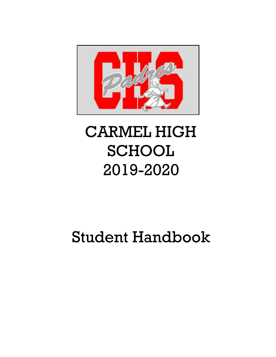

# CARMEL HIGH **SCHOOL** 2019-2020

# Student Handbook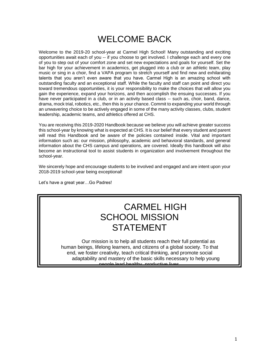## WELCOME BACK

Welcome to the 2019-20 school-year at Carmel High School! Many outstanding and exciting opportunities await each of you -- if you choose to get involved. I challenge each and every one of you to step out of your comfort zone and set new expectations and goals for yourself. Set the bar high for your achievement in academics, get plugged into a club or an athletic team, play music or sing in a choir, find a VAPA program to stretch yourself and find new and exhilarating talents that you aren't even aware that you have. Carmel High is an amazing school with outstanding faculty and an exceptional staff. While the faculty and staff can point and direct you toward tremendous opportunities, it is your responsibility to make the choices that will allow you gain the experience, expand your horizons, and then accomplish the ensuing successes. If you have never participated in a club, or in an activity based class -- such as, choir, band, dance, drama, mock trial, robotics, etc., then this is your chance. Commit to expanding your world through an unwavering choice to be actively engaged in some of the many activity classes, clubs, student leadership, academic teams, and athletics offered at CHS.

You are receiving this 2019-2020 Handbook because we believe you will achieve greater success this school-year by knowing what is expected at CHS. It is our belief that every student and parent will read this Handbook and be aware of the policies contained inside. Vital and important information such as: our mission, philosophy, academic and behavioral standards, and general information about the CHS campus and operations, are covered. Ideally this handbook will also become an instructional tool to assist students in organization and involvement throughout the school-year.

We sincerely hope and encourage students to be involved and engaged and are intent upon your 2018-2019 school-year being exceptional!

Let's have a great year…Go Padres!

## CARMEL HIGH SCHOOL MISSION STATEMENT

Our mission is to help all students reach their full potential as human beings, lifelong learners, and citizens of a global society. To that end, we foster creativity, teach critical thinking, and promote social adaptability and mastery of the basic skills necessary to help young people lead healthy, productive lives.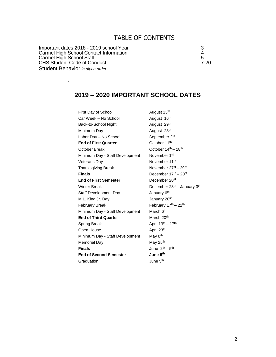## TABLE OF CONTENTS

Important dates 2018 - 2019 school Year 3 Carmel High School Contact Information 4 Carmel High School Staff 5 and 5 and 5 and 5 and 5 and 5 and 5 and 5 and 5 and 5 and 5 and 5 and 5 and 5 and 5 CHS Student Code of Conduct **7-20** Student Behavior *in alpha order*

.

## **2019 – 2020 IMPORTANT SCHOOL DATES**

| First Day of School             | August 13th                                         |
|---------------------------------|-----------------------------------------------------|
| Car Week - No School            | August 16 <sup>th</sup>                             |
| Back-to-School Night            | August 29 <sup>th</sup>                             |
| Minimum Day                     | August 23 <sup>th</sup>                             |
| Labor Day - No School           | September 2rd                                       |
| <b>End of First Quarter</b>     | October 11 <sup>th</sup>                            |
| October Break                   | October 14th - 18th                                 |
| Minimum Day - Staff Development | November 1 <sup>st</sup>                            |
| <b>Veterans Day</b>             | November 11 <sup>th</sup>                           |
| <b>Thanksgiving Break</b>       | November 27 <sup>st</sup> - 29 <sup>rd</sup>        |
| <b>Finals</b>                   | December 17th - 20st                                |
| <b>End of First Semester</b>    | December 20 <sup>st</sup>                           |
| <b>Winter Break</b>             | December 23 <sup>th</sup> - January 3 <sup>th</sup> |
| Staff Development Day           | January 6 <sup>th</sup>                             |
| M.L. King Jr. Day               | January 20st                                        |
| <b>February Break</b>           | February 17th - 21th                                |
| Minimum Day - Staff Development | March 6 <sup>th</sup>                               |
| <b>End of Third Quarter</b>     | March 20 <sup>th</sup>                              |
| <b>Spring Break</b>             | April 13th - 17th                                   |
| Open House                      | April 23th                                          |
| Minimum Day - Staff Development | May 8 <sup>th</sup>                                 |
| <b>Memorial Day</b>             | May 25 <sup>th</sup>                                |
| <b>Finals</b>                   | June $2^{th} - 5^{th}$                              |
| <b>End of Second Semester</b>   | June 5 <sup>th</sup>                                |
| Graduation                      | June 5 <sup>th</sup>                                |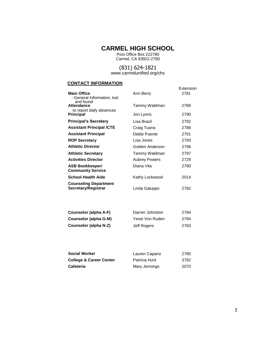## **CARMEL HIGH SCHOOL**

Post Office Box 222780 Carmel, CA 93922-2780

#### (831) 624-1821

[www.carmelunified.org/chs](http://www.carmelunified.org/chs)

## **CONTACT INFORMATION**

|                                                                |                      | Extension |
|----------------------------------------------------------------|----------------------|-----------|
| <b>Main Office</b><br>- General Information, lost<br>and found | Ann Berry            | 2781      |
| Attendance<br>-to report daily absences                        | Tammy Waldman        | 2789      |
| <b>Principal</b>                                               | Jon Lyons            | 2790      |
| <b>Principal's Secretary</b>                                   | Lisa Brazil          | 2792      |
| <b>Assistant Principal /CTE</b>                                | Craig Tuana          | 2788      |
| <b>Assistant Principal</b>                                     | Debbi Puente         | 2791      |
| <b>ROP Secretary</b>                                           | Lisa Jones           | 2793      |
| <b>Athletic Director</b>                                       | Golden Anderson      | 2796      |
| <b>Athletic Secretary</b>                                      | Tammy Waldman        | 2797      |
| <b>Activities Director</b>                                     | <b>Aubrey Powers</b> | 2729      |
| <b>ASB Bookkeeper/</b><br><b>Community Service</b>             | Diana Vita           | 2780      |
| <b>School Health Aide</b>                                      | Kathy Lockwood       | 2014      |
| <b>Counseling Department</b><br>Secretary/Registrar            | Linda Galuppo        | 2782      |
|                                                                |                      |           |

| Counselor (alpha A-F) | Darren Johnston | 2784 |
|-----------------------|-----------------|------|
| Counselor (alpha G-M) | Yesel Von Ruden | 2794 |
| Counselor (alpha N-Z) | Jeff Rogers     | 2783 |

| <b>Social Worker</b>               | Lauren Capano | 2785 |
|------------------------------------|---------------|------|
| <b>College &amp; Career Center</b> | Patricia Hunt | 3782 |
| Cafeteria                          | Mary Jennings | 2070 |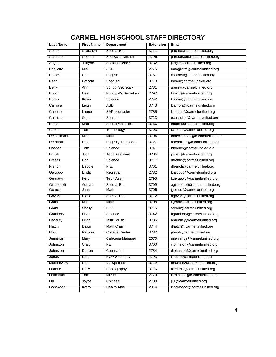| <b>Last Name</b> | <b>First Name</b> | <b>Department</b>            | <b>Extension</b> | Email                         |
|------------------|-------------------|------------------------------|------------------|-------------------------------|
| Abate            | Gretchen          | Special Ed.                  | 3711             | gabate@carmelunified.org      |
| Anderson         | Golden            | Soc Sci. / Ath. Dir          | 2796             | ganderson@carmelunified.org   |
| Ange             | Jillayne          | Social Science               | 3732             | jange@carmelunified.org       |
| Baglietto        | Mia               | ASL                          | 2775             | mbaglietto@carmelunified.org  |
| <b>Barnett</b>   | Carli             | English                      | 3751             | cbarnett@carmelunified.org    |
| Bean             | Patricia          | Spanish                      | 3710             | tbean@carmelunified.org       |
| <b>Berry</b>     | Ann               | <b>School Secretary</b>      | 2781             | aberry@carmelunified.org      |
| Brazil           | Lisa              | <b>Principal's Secretary</b> | 2792             | lbrazil@carmelunified.org     |
| <b>Buran</b>     | Kevin             | Science                      | 2742             | kburan@carmelunified.org      |
| Cambra           | Leigh             | ASB                          | 3743             | Icambra@carmelunified.org     |
| Capano           | Lauren            | SAP counselor                | 2785             | Icapano@carmelunified.org     |
| Chandler         | Olga              | Spanish                      | 3713             | ochandler@carmelunified.org   |
| <b>Borek</b>     | Matt              | <b>Sports Medicine</b>       | 3766             | mborek@carmelunified.org      |
| Clifford         | Tom               | Technology                   | 3703             | tclifford@carmelunified.org   |
| Deckelmann       | Mike              | Math                         | 3704             | mdeckelman@carmelunified.org  |
| <b>DePalatis</b> | Dale              | English, Yearbook            | 3727             | ddepalatis@carmelunified.org  |
| Dooner           | Tom               | Science                      | 3741             | tdooner@carmelunified.org     |
| Fausti           | Julia             | Tech Assistant               | 3705             | jfausti@carmelunified.org     |
| Freitas          | Don               | Science                      | 3717             | dfreitas@carmelunified.org    |
| French           | <b>Debbie</b>     | P.E.                         | 3761             | dfrench@carmelunified.org     |
| Galuppo          | Linda             | Registrar                    | 2782             | lgaluppo@carmelunified.org    |
| Gergawy          | Kero              | Tech Asst                    | 2795             | kgergawy@carmelunified.org    |
| Giacomelli       | Adriana           | Special Ed.                  | 3709             | agiacomelli@carmelunified.org |
| Gomez            | Juan              | Math                         | 3706             | jgomez@carmelunified.org      |
| Govan            | Diana             | Special Ed.                  | 3712             | dgovan@carmelunified.org      |
| Grahl            | Kurt              | Math                         | 3708             | kgrahl@carmelunified.org      |
| Grahl            | Shelly            | ELD                          | 3715             | sgrahl@carmelunified.org      |
| Granbery         | <b>Brian</b>      | Science                      | 3742             | bgranbery@carmelunified.org   |
| <b>Handley</b>   | Brian             | Instr. Music                 | 3735             | bhandley@carmelunified.org    |
| Hatch            | Dawn              | Math Chair                   | 3744             | dhatch@carmelunified.org      |
| Hunt             | Patricia          | <b>College Center</b>        | 3782             | phunt@carmelunified.org       |
| Jennings         | Mary              | Cafeteria Manager            | 2070             | mjennings@carmelunified.org   |
| Johnston         | Craig             | PE                           | 3760             | cjohnston@carmelunified.org   |
| Johnston         | Darren            | Counselor                    | 2784             | djohnston@carmelunified.org   |
| Jones            | Lisa              | <b>ROP Secretary</b>         | 2793             | ljones@carmelunified.org      |
| Martinez Jr.     | Roel              | IA, Spec Ed.                 | 3712             | rmartinez@carmelunified.org   |
| Lederle          | Holly             | Photography                  | 3716             | hlederle@carmelunified.org    |
| Lehmkuhl         | Tom               | Music                        | 2770             | tlehmkuhl@carmelunified.org   |
| Liu              | Joyce             | Chinese                      | 2708             | jlui@carmelunified.org        |
| Lockwood         | Kathy             | <b>Health Aide</b>           | 2014             | klockwood@carmelunified.org   |

## **CARMEL HIGH SCHOOL STAFF DIRECTORY**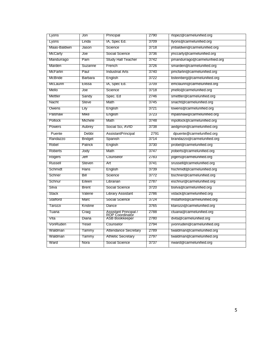| Lyons           | Jon             | Principal                                                  | 2790 | rlopez@carmelunified.org      |
|-----------------|-----------------|------------------------------------------------------------|------|-------------------------------|
| Lyons           | Linda           | IA, Spec Ed.                                               | 3709 | llyons@carmelunified.org      |
| Maas-Baldwin    | Jason           | Science                                                    | 3718 | jmbaldwin@carmelunified.org   |
| <b>McCarty</b>  | Joe             | Social Science                                             | 3736 | imccarty@carmelunified.org    |
| Mandurrago      | Pam             | <b>Study Hall Teacher</b>                                  | 3742 | pmandurrago@carmelunfiied.org |
| Marden          | Suzanne         | French                                                     | 3726 | smarden@carmelunified.org     |
| <b>McFarlin</b> | Paul            | <b>Industrial Arts</b>                                     | 3740 | pmcfarlin@carmelunified.org   |
| McBride         | <b>Barbara</b>  | English                                                    | 3722 | bsteinberg@carmelunified.org  |
| McLaurin        | <b>Elissa</b>   | IA, Spec Ed.                                               | 3709 | emclaurin@carmelunified.org   |
| Mello           | $\sqrt{2}$      | Science                                                    | 3718 | jmello@carmelunified.org      |
| Mettler         | Sandy           | Spec. Ed                                                   | 2746 | smettler@carmelunified.org    |
| <b>Nacht</b>    | Steve           | Math                                                       | 3745 | snacht@carmelunified.org      |
| Owens           | Lily            | English                                                    | 3721 | lowens@carmelunified.org      |
| Palshaw         | Mike            | English                                                    | 3723 | mpalshaw@carmelunified.org    |
| Pollock         | Michele         | Math                                                       | 3748 | mpollock@carmelunified.org    |
| Powers          | Aubrey          | Social Sci, AVID                                           | 3738 | aedgmon@carmelunified.org     |
| Puente          | Debbi           | <b>AssistantPrincipal</b>                                  | 2791 | dpuente@carmelunified.org     |
| Randazzo        | <b>Bridget</b>  | Spanish                                                    | 3714 | brandazzo@carmelunified.org   |
| Robel           | Patrick         | English                                                    | 3730 | probel@carmelunified.org      |
| <b>Roberts</b>  | <b>Jody</b>     | Math                                                       | 3747 | jroberts@carmelunified.org    |
| Rogers          | Jeff            | Counselor                                                  | 2783 | jogers@carmelunified.org      |
| Russell         | Steven          | Art                                                        | 3741 | srussell@carmelunified.org    |
| Schmidt         | Hans            | English                                                    | 3739 | hschmidt@carmelunified.org    |
| Schrier         | Bill            | Science                                                    | 3772 | bschrier@carmelunified.org    |
| Schnur          | Eileen          | Librarian                                                  | 2787 | eschnur@carmelunified.org     |
| Silva           | <b>Brent</b>    | Social Science                                             | 3720 | bsilva@carmelunified.org      |
| Stack           | Valerie         | Library Assistant                                          | 2786 | vstack@carmelunified.org      |
| Stafford        | Marc            | <b>Social Science</b>                                      | 3724 | mstafford@carmelunified.org   |
| Tarozzi         | <b>Kristine</b> | Dance                                                      | 3765 | ktarozzi@carmelunified.org    |
| Tuana           | Craig           | Assistant Principal /<br>ROP Coordinator<br>ASB Bookkeeper | 2788 | ctuana@carmelunified.org      |
| Vita            | Diana           |                                                            | 2780 | dvita@carmelunified.org       |
| VonRuden        | Yesel           | Counselor                                                  | 2794 | yvonruden@carmelunified.org   |
| Waldman         | Tammy           | <b>Attendance Secretary</b>                                | 2789 | twaldman@carmelunified.org    |
| Waldman         | Tammy           | <b>Athletic Secretary</b>                                  | 2797 | twaldman@carmelunified.org    |
| Ward            | Nora            | Social Science                                             | 3737 | nward@carmelunified.org       |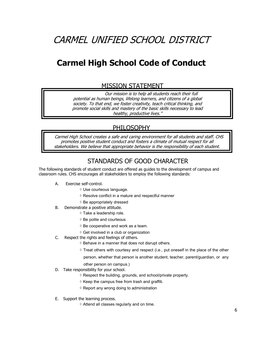## CARMEL UNIFIED SCHOOL DISTRICT

## **Carmel High School Code of Conduct**

## MISSION STATEMENT

Our mission is to help all students reach their full potential as human beings, lifelong learners, and citizens of a global society. To that end, we foster creativity, teach critical thinking, and promote social skills and mastery of the basic skills necessary to lead healthy, productive lives."

## PHILOSOPHY

Carmel High School creates a safe and caring environment for all students and staff. CHS promotes positive student conduct and fosters a climate of mutual respect for all stakeholders. We believe that appropriate behavior is the responsibility of each student.

## STANDARDS OF GOOD CHARACTER

The following standards of student conduct are offered as guides to the development of campus and classroom rules. CHS encourages all stakeholders to employ the following standards:

- A. Exercise self-control.
	- ◊ Use courteous language.
	- ◊ Resolve conflict in a mature and respectful manner
	- ◊ Be appropriately dressed
- B. Demonstrate a positive attitude.
	- $\diamond$  Take a leadership role.
	- $\diamond$  Be polite and courteous
	- $\diamond$  Be cooperative and work as a team.
	- $\diamond$  Get involved in a club or organization
- C. Respect the rights and feelings of others.
	- $\diamond$  Behave in a manner that does not disrupt others.
	- ◊ Treat others with courtesy and respect (i.e., put oneself in the place of the other

person, whether that person is another student, teacher, parent/guardian, or any

- other person on campus.)
- D. Take responsibility for your school.
	- ◊ Respect the building, grounds, and school/private property.
	- $\diamond$  Keep the campus free from trash and graffiti.
	- ◊ Report any wrong doing to administration
- E. Support the learning process.
	- $\diamond$  Attend all classes regularly and on time.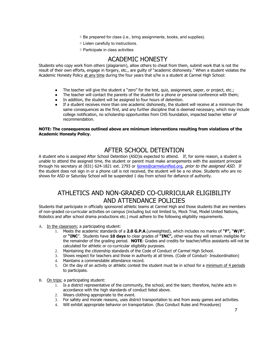- ◊ Be prepared for class (i.e., bring assignments, books, and supplies).
- ◊ Listen carefully to instructions.
- ◊ Participate in class activities

## ACADEMIC HONESTY

Students who copy work from others (plagiarism), allow others to cheat from them, submit work that is not the result of their own efforts, engage in forgery, etc., are guilty of "academic dishonesty." When a student violates the Academic Honesty Policy at any time during the four years that s/he is a student at Carmel High School:

- The teacher will give the student a "zero" for the test, quiz, assignment, paper, or project, etc.;
- The teacher will contact the parents of the student for a phone or personal conference with them;
- In addition, the student will be assigned to four hours of detention.
- If a student receives more than one academic dishonesty, the student will receive at a minimum the same consequences as the first, and any further discipline that is deemed necessary, which may include college notification, no scholarship opportunities from CHS foundation, impacted teacher letter of recommendation.

#### **NOTE: The consequences outlined above are minimum interventions resulting from violations of the Academic Honesty Policy.**

## AFTER SCHOOL DETENTION

A student who is assigned After School Detention (ASD)is expected to attend. If, for some reason, a student is unable to attend the assigned time, the student or parent must make arrangements with the assistant principal through his secretary at (831) 624-1821 ext. 2793 or [ljones@carmelunified.org,](mailto:ljones@carmelunified.org) prior to the assigned ASD. If the student does not sign in or a phone call is not received, the student will be a no show. Students who are no shows for ASD or Saturday School will be suspended 1 day from school for defiance of authority.

## ATHLETICS AND NON-GRADED CO-CURRICULAR ELIGIBILITY AND ATTENDANCE POLICIES

Students that participate in officially sponsored athletic teams at Carmel High and those students that are members of non-graded co-curricular activities on campus (including but not limited to, Mock Trial, Model United Nations, Robotics and after school drama productions etc.) must adhere to the following eligibility requirements.

- A. In the classroom; a participating student:
	- 1. Meets the academic standards of a **2.0 G.P.A**.(unweighted), which includes no marks of **"F",** "**W/F**", or **"INC**". Students have **10 days** to clear grades of **"INC",** other-wise they will remain ineligible for the remainder of the grading period. **NOTE**: Grades and credits for teacher/office assistants will not be calculated for athletic or co-curricular eligibility purposes.
	- 2. Maintaining the citizenship standards of the Code of Conduct of Carmel High School.
	- 3. Shows respect for teachers and those in authority at all times. (Code of Conduct- Insubordination)
	- 4. Maintains a commendable attendance record.
	- 5. On the day of an activity or athletic contest the student must be in school for a minimum of 4 periods to participate.
- B. On trips; a participating student:
	- 1. Is a district representative of the community, the school, and the team; therefore, he/she acts in accordance with the high standards of conduct listed above.
	- 2. Wears clothing appropriate to the event.
	- 3. For safety and morale reasons, uses district transportation to and from away games and activities.
	- 4. Will exhibit appropriate behavior on transportation. (Bus Conduct Rules and Procedures)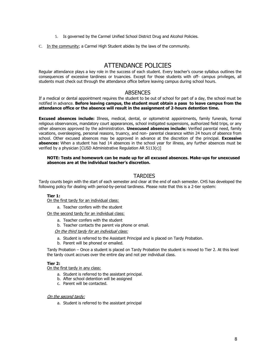- 5. Is governed by the Carmel Unified School District Drug and Alcohol Policies.
- C. In the community; a Carmel High Student abides by the laws of the community.

## ATTENDANCE POLICIES

Regular attendance plays a key role in the success of each student. Every teacher's course syllabus outlines the consequences of excessive tardiness or truancies. Except for those students with off- campus privileges, all students must check out through the attendance office before leaving campus during school hours.

#### ABSENCES

If a medical or dental appointment requires the student to be out of school for part of a day, the school must be notified in advance. **Before leaving campus, the student must obtain a pass to leave campus from the attendance office or the absence will result in the assignment of 2-hours detention time.**

**Excused absences include:** Illness, medical, dental, or optometrist appointments, family funerals, formal religious observances, mandatory court appearances, school instigated suspensions, authorized field trips, or any other absences approved by the administration. **Unexcused absences include:** Verified parental need, family vacations, oversleeping, personal reasons, truancy, and non- parental clearance within 24 hours of absence from school. Other excused absences may be approved in advance at the discretion of the principal. **Excessive absences:** When a student has had 14 absences in the school year for illness, any further absences must be verified by a physician [CUSD Administrative Regulation AR 5113(c)]

#### **NOTE: Tests and homework can be made up for all excused absences. Make-ups for unexcused absences are at the individual teacher's discretion.**

### **TARDIES**

Tardy counts begin with the start of each semester and clear at the end of each semester. CHS has developed the following policy for dealing with period-by-period tardiness. Please note that this is a 2-tier system:

#### **Tier 1:**

On the first tardy for an individual class:

a. Teacher confers with the student

On the second tardy for an individual class:

- a. Teacher confers with the student
- b. Teacher contacts the parent via phone or email.

On the third tardy for an individual class:

- a. Student is referred to the Assistant Principal and is placed on Tardy Probation.
- b. Parent will be phoned or emailed.

Tardy Probation – Once a student is placed on Tardy Probation the student is moved to Tier 2. At this level the tardy count accrues over the entire day and not per individual class.

#### **Tier 2:**

On the first tardy in any class:

- a. Student is referred to the assistant principal.
- b. After school detention will be assigned
- c. Parent will be contacted.

#### On the second tardy:

a. Student is referred to the assistant principal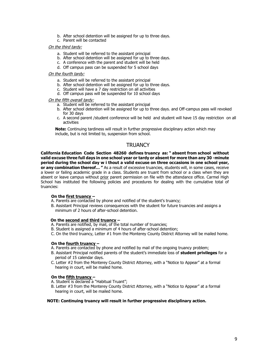- b. After school detention will be assigned for up to three days.
- c. Parent will be contacted

#### On the third tardy:

- a. Student will be referred to the assistant principal
- b. After school detention will be assigned for up to three days.
- c. A conference with the parent and student will be held
- d. Off campus pass can be suspended for 5 school days

#### On the fourth tardy:

- a. Student will be referred to the assistant principal
- b. After school detention will be assigned for up to three days.
- c. Student will have a 7 day restriction on all activities
- d. Off campus pass will be suspended for 10 school days

#### On the fifth overall tardy:

- a. Student will be referred to the assistant principal
- b. After school detention will be assigned for up to three days. and Off-campus pass will revoked for 30 days
- c. A second parent /student conference will be held and student will have 15 day restriction on all activities

**Note:** Continuing tardiness will result in further progressive disciplinary action which may include, but is not limited to, suspension from school.

### **TRUANCY**

**California Education Code Section 48260 defines truancy as: " absent from school without valid excuse three full days in one school year or tardy or absent for more than any 30 -minute period during the school day w i thout a valid excuse on three occasions in one school year, or any combination thereof… "** As a result of excessive truancies, students will, in some cases, receive a lower or failing academic grade in a class. Students are truant from school or a class when they are absent or leave campus without prior parent permission on file with the attendance office. Carmel High School has instituted the following policies and procedures for dealing with the cumulative total of truancies:

#### **On the first truancy –**

- A. Parents are contacted by phone and notified of the student's truancy;
- B. Assistant Principal reviews consequences with the student for future truancies and assigns a minimum of 2 hours of after-school detention.

#### **On the second and third truancy –**

- A. Parents are notified, by mail, of the total number of truancies;
- B. Student is assigned a minimum of 4 hours of after-school detention;
- C. On the third truancy, Letter #1 from the Monterey County District Attorney will be mailed home.

#### **On the fourth truancy –**

- A. Parents are contacted by phone and notified by mail of the ongoing truancy problem;
- B. Assistant Principal notified parents of the student's immediate loss of **student privileges** for a period of 15 calendar days.
- C. Letter #2 from the Monterey County District Attorney, with a "Notice to Appear" at a formal hearing in court, will be mailed home.

#### **On the fifth truancy –**

- A. Student is declared a "Habitual Truant";
- B. Letter #3 from the Monterey County District Attorney, with a "Notice to Appear" at a formal hearing in court, will be mailed home.

#### **NOTE: Continuing truancy will result in further progressive disciplinary action.**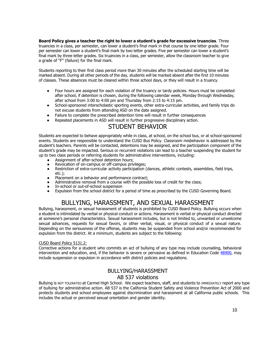**Board Policy gives a teacher the right to lower a student's grade for excessive truancies**. Three truancies in a class, per semester, can lower a student's final mark in that course by one letter grade. Four per semester can lower a student's final mark by two letter grades. Five per semester can lower a student's final mark by three letter grades. Six truancies in a class, per semester, allow the classroom teacher to give a grade of "F" (failure) for the final mark.

Students reporting to their first class period more than 30 minutes after the scheduled starting time will be marked absent. During all other periods of the day, students will be marked absent after the first 10 minutes of classes. These absences must be cleared within three school days, or they will result in a truancy.

- Four hours are assigned for each violation of the truancy or tardy policies. Hours must be completed after school, if detention is chosen, during the following calendar week, Monday through Wednesday, after school from 3:00 to 4:00 pm and Thursday from 2:15 to 4:15 pm.
- School-sponsored interscholastic sporting events, other extra-curricular activities, and family trips do not excuse students from attending ASD on the date assigned.
- Failure to complete the prescribed detention time will result in further consequences
- Repeated placements in ASD will result in further progressive disciplinary action.

## STUDENT BEHAVIOR

Students are expected to behave appropriately while in class, at school, on the school bus, or at school-sponsored events. Students are responsible to understand the CUSD Bus Policy. Classroom misbehavior is addressed by the student's teachers. Parents will be contacted, detentions may be assigned, and the participation component of the student's grade may be impacted. Serious or recurrent violations can lead to a teacher suspending the student for up to two class periods or referring students for administrative interventions, including:

- Assignment of after-school detention hours:
- Revocation of on-campus or off-campus privileges;
- Restriction of extra-curricular activity participation (dances, athletic contests, assemblies, field trips, etc.);
- Placement on a behavior and performance contract;
- Administrative removal from a course with the possible loss of credit for the class;
- In-school or out-of-school suspension
- Expulsion from the school district for a period of time as prescribed by the CUSD Governing Board.

## BULLYING, HARASSMENT, AND SEXUAL HARASSMENT

Bullying, harassment, or sexual harassment of students is prohibited by CUSD Board Policy. Bullying occurs when a student is intimidated by verbal or physical conduct or actions. Harassment is verbal or physical conduct directed at someone's personal characteristics. Sexual harassment includes, but is not limited to, unwanted or unwelcome sexual advances, requests for sexual favors, or other verbal, visual, or physical conduct of a sexual nature. Depending on the seriousness of the offense, students may be suspended from school and/or recommended for expulsion from the district. At a minimum, students are subject to the following:

#### CUSD Board Policy 5131.2:

Corrective actions for a student who commits an act of bullying of any type may include counseling, behavioral intervention and education, and, if the behavior is severe or pervasive as defined in Education Code [48900,](http://www.gamutonline.net/district/carmel/displayPolicy/137736/) may include suspension or expulsion in accordance with district policies and regulations.

## BULLYING/HARASSMENT AB 537 violations

Bullying is NOT TOLERATED at Carmel High School. We expect teachers, staff, and students to IMMEDIATELY report any type of bullying for administrative action. AB 537 is the California Student Safety and Violence Prevention Act of 2000 and protects students and school employees against discrimination and harassment at all California public schools. This includes the actual or perceived sexual orientation and gender identity.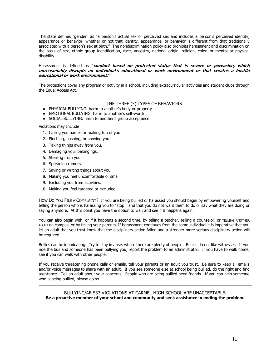The state defines "gender" as "a person's actual sex or perceived sex and includes a person's perceived identity, appearance or behavior, whether or not that identity, appearance, or behavior is different from that traditionally associated with a person's sex at birth." The nondiscrimination policy also prohibits harassment and discrimination on the basis of sex, ethnic group identification, race, ancestry, national origin, religion, color, or mental or physical disability.

#### Harassment is defined as "**conduct based on protected status that is severe or pervasive, which unreasonably disrupts an individual's educational or work environment or that creates a hostile educational or work environment**."

The protections cover any program or activity in a school, including extracurricular activities and student clubs through the Equal Access Act.

#### THE THREE (3) TYPES OF BEHAVIORS

- PHYSICAL BULLYING**:** harm to another's body or property
- EMOTIONAL BULLYING: harm to another's self-worth
- SOCIAL BULLYING: harm to another's group acceptance

Violations may Include

- 1. Calling you names or making fun of you.
- 2. Pinching, pushing, or shoving you.
- 3. Taking things away from you.
- 4. Damaging your belongings.
- 5. Stealing from you.
- 6. Spreading rumors.
- 7. Saying or writing things about you.
- 8. Making you feel uncomfortable or small.
- 9. Excluding you from activities.
- 10. Making you feel targeted or excluded.

HOW DO YOU FILE A COMPLAINT? If you are being bullied or harassed you should begin by empowering yourself and telling the person who is harassing you to "stop!" and that you do not want them to do or say what they are doing or saying anymore. At this point you have the option to wait and see if it happens again.

You can also begin with, or if it happens a second time, by telling a teacher, telling a counselor, or TELLING ANOTHER ADULT on campus, or by telling your parents. If harassment continues from the same individual it is imperative that you let an adult that you trust know that the disciplinary action failed and a stronger more serious disciplinary action will be required.

Bullies can be intimidating. Try to stay in areas where there are plenty of people. Bullies do not like witnesses. If you ride the bus and someone has been bullying you, report the problem to an administrator. If you have to walk home, see if you can walk with other people.

If you receive threatening phone calls or emails, tell your parents or an adult you trust. Be sure to keep all emails and/or voice messages to share with an adult. If you see someone else at school being bullied, do the right and find assistance. Tell an adult about your concerns. People who are being bullied need friends. If you can help someone who is being bullied, please do so.

#### BULLYING/AB 537 VIOLATIONS AT CARMEL HIGH SCHOOL ARE UNACCEPTABLE**. Be a proactive member of your school and community and seek assistance in ending the problem.**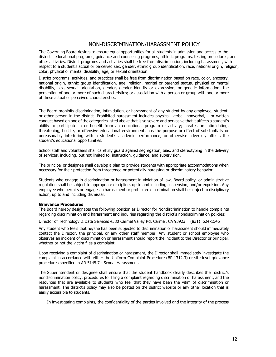### NON-DISCRIMINATION/HARASSMENT POLICY

The Governing Board desires to ensure equal opportunities for all students in admission and access to the district's educational programs, guidance and counseling programs, athletic programs, testing procedures, and other activities. District programs and activities shall be free from discrimination, including harassment, with respect to a student's actual or perceived sex, gender, ethnic group identification, race, national origin, religion, color, physical or mental disability, age, or sexual orientation.

District programs, activities, and practices shall be free from discrimination based on race, color, ancestry, national origin, ethnic group identification, age, religion, marital or parental status, physical or mental disability, sex, sexual orientation, gender, gender identity or expression, or genetic information; the perception of one or more of such characteristics; or association with a person or group with one or more of these actual or perceived characteristics.

The Board prohibits discrimination, intimidation, or harassment of any student by any employee, student, or other person in the district. Prohibited harassment includes physical, verbal, nonverbal, or written conduct based on one of the categories listed above that is so severe and pervasive that it affects a student's ability to participate in or benefit from an educational program or activity; creates an intimidating, threatening, hostile, or offensive educational environment; has the purpose or effect of substantially or unreasonably interfering with a student's academic performance; or otherwise adversely affects the student's educational opportunities.

School staff and volunteers shall carefully guard against segregation, bias, and stereotyping in the delivery of services, including, but not limited to, instruction, guidance, and supervision.

The principal or designee shall develop a plan to provide students with appropriate accommodations when necessary for their protection from threatened or potentially harassing or discriminatory behavior.

Students who engage in discrimination or harassment in violation of law, Board policy, or administrative regulation shall be subject to appropriate discipline, up to and including suspension, and/or expulsion. Any employee who permits or engages in harassment or prohibited discrimination shall be subject to disciplinary action, up to and including dismissal.

#### **Grievance Procedures**

The Board hereby designates the following position as Director for Nondiscrimination to handle complaints regarding discrimination and harassment and inquiries regarding the district's nondiscrimination policies:

Director of Technology & Data Services 4380 Carmel Valley Rd. Carmel, CA 93923 (831) 624-1546

Any student who feels that he/she has been subjected to discrimination or harassment should immediately contact the Director, the principal, or any other staff member. Any student or school employee who observes an incident of discrimination or harassment should report the incident to the Director or principal, whether or not the victim files a complaint.

Upon receiving a complaint of discrimination or harassment, the Director shall immediately investigate the complaint in accordance with either the Uniform Complaint Procedure (BP 1312.3) or site-level grievance procedures specified in AR 5145.7 - Sexual Harassment.

The Superintendent or designee shall ensure that the student handbook clearly describes the district's nondiscrimination policy, procedures for filing a complaint regarding discrimination or harassment, and the resources that are available to students who feel that they have been the vitim of discrimination or harassment. The district's policy may also be posted on the district website or any other location that is easily accessible to students.

In investigating complaints, the confidentiality of the parties involved and the integrity of the process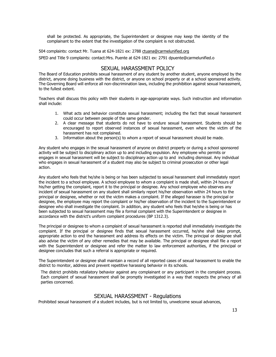shall be protected. As appropriate, the Superintendent or designee may keep the identity of the complainant to the extent that the investigation of the complaint is not obstructed.

504 complaints: contact Mr. Tuana at 624-1821 ex: 2788 [ctuana@carmelunified.org](mailto:ctuana@carmelunified.org)

SPED and Title 9 complaints: contact:Mrs. Puente at 624-1821 ex: 2791 dpuent[e@carmelunified.o](mailto:tparry@carmelunified.org)

#### SEXUAL HARASSMENT POLICY

The Board of Education prohibits sexual harassment of any student by another student, anyone employed by the district, anyone doing business with the district, or anyone on school property or at a school sponsored activity. The Governing Board will enforce all non-discrimination laws, including the prohibition against sexual harassment, to the fullest extent.

Teachers shall discuss this policy with their students in age-appropriate ways. Such instruction and information shall include:

- 1. What acts and behavior constitute sexual harassment; including the fact that sexual harassment could occur between people of the same gender.
- 2. A clear message that students do not have to endure sexual harassment. Students should be encouraged to report observed instances of sexual harassment, even where the victim of the harassment has not complained.
- 3. Information about the person(s) to whom a report of sexual harassment should be made.

Any student who engages in the sexual harassment of anyone on district property or during a school sponsored activity will be subject to disciplinary action up to and including expulsion. Any employee who permits or engages in sexual harassment will be subject to disciplinary action up to and including dismissal. Any individual who engages in sexual harassment of a student may also be subject to criminal prosecution or other legal action.

Any student who feels that he/she is being or has been subjected to sexual harassment shall immediately report the incident to a school employee. A school employee to whom a complaint is made shall, within 24 hours of his/her getting the complaint, report it to the principal or designee. Any school employee who observes any incident of sexual harassment on any student shall similarly report his/her observation within 24 hours to the principal or designee, whether or not the victim makes a complaint. If the alleged harasser is the principal or designee, the employee may report the complaint or his/her observation of the incident to the Superintendent or designee who shall investigate the complaint. In addition, any student who feels that he/she is being or has been subjected to sexual harassment may file a formal complaint with the Superintendent or designee in accordance with the district's uniform complaint procedures (BP 1312.3).

The principal or designee to whom a complaint of sexual harassment is reported shall immediately investigate the complaint. If the principal or designee finds that sexual harassment occurred, he/she shall take prompt, appropriate action to end the harassment and address its effects on the victim. The principal or designee shall also advise the victim of any other remedies that may be available. The principal or designee shall file a report with the Superintendent or designee and refer the matter to law enforcement authorities, if the principal or designee concludes that such a referral is appropriate or required.

The Superintendent or designee shall maintain a record of all reported cases of sexual harassment to enable the district to monitor, address and prevent repetitive harassing behavior in its schools.

The district prohibits retaliatory behavior against any complainant or any participant in the complaint process. Each complaint of sexual harassment shall be promptly investigated in a way that respects the privacy of all parties concerned.

#### SEXUAL HARASSMENT - Regulations

Prohibited sexual harassment of a student includes, but is not limited to, unwelcome sexual advances,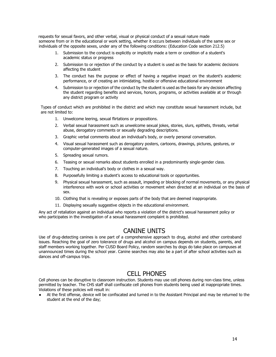requests for sexual favors, and other verbal, visual or physical conduct of a sexual nature made someone from or in the educational or work setting, whether it occurs between individuals of the same sex or individuals of the opposite sexes, under any of the following conditions: (Education Code section 212.5)

- 1. Submission to the conduct is explicitly or implicitly made a term or condition of a student's academic status or progress
- 2. Submission to or rejection of the conduct by a student is used as the basis for academic decisions affecting the student
- 3. The conduct has the purpose or effect of having a negative impact on the student's academic performance, or of creating an intimidating, hostile or offensive educational environment
- 4. Submission to or rejection of the conduct by the student is used as the basis for any decision affecting the student regarding benefits and services, honors, programs, or activities available at or through any district program or activity

Types of conduct which are prohibited in the district and which may constitute sexual harassment include, but are not limited to:

- 1. Unwelcome leering, sexual flirtations or propositions.
- 2. Verbal sexual harassment such as unwelcome sexual jokes, stories, slurs, epithets, threats, verbal abuse, derogatory comments or sexually degrading descriptions.
- 3. Graphic verbal comments about an individual's body, or overly personal conversation.
- 4. Visual sexual harassment such as derogatory posters, cartoons, drawings, pictures, gestures, or computer-generated images of a sexual nature.
- 5. Spreading sexual rumors.
- 6. Teasing or sexual remarks about students enrolled in a predominantly single-gender class.
- 7. Touching an individual's body or clothes in a sexual way.
- 8. Purposefully limiting a student's access to educational tools or opportunities.
- 9. Physical sexual harassment, such as assault, impeding or blocking of normal movements, or any physical interference with work or school activities or movement when directed at an individual on the basis of sex.
- 10. Clothing that is revealing or exposes parts of the body that are deemed inappropriate.
- 11. Displaying sexually suggestive objects in the educational environment.

Any act of retaliation against an individual who reports a violation of the district's sexual harassment policy or who participates in the investigation of a sexual harassment complaint is prohibited.

## CANINE UNITS

Use of drug-detecting canines is one part of a comprehensive approach to drug, alcohol and other contraband issues. Reaching the goal of zero tolerance of drugs and alcohol on campus depends on students, parents, and staff members working together. Per CUSD Board Policy, random searches by dogs do take place on campuses at unannounced times during the school year. Canine searches may also be a part of after school activities such as dances and off-campus trips.

## CELL PHONES

Cell phones can be disruptive to classroom instruction. Students may use cell phones during non-class time, unless permitted by teacher. The CHS staff shall confiscate cell phones from students being used at inappropriate times. Violations of these policies will result in:

At the first offense, device will be confiscated and turned in to the Assistant Principal and may be returned to the student at the end of the day;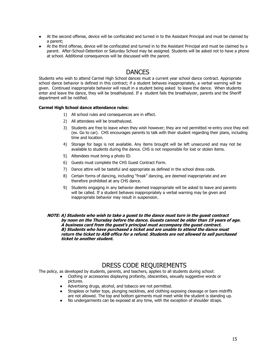- At the second offense, device will be confiscated and turned in to the Assistant Principal and must be claimed by a parent;
- At the third offense, device will be confiscated and turned in to the Assistant Principal and must be claimed by a parent. After-School-Detention or Saturday School may be assigned. Students will be asked not to have a phone at school. Additional consequences will be discussed with the parent.

## **DANCES**

Students who wish to attend Carmel High School dances must a current year school dance contract. Appropriate school dance behavior is defined in this contract; if a student behaves inappropriately, a verbal warning will be given. Continued inappropriate behavior will result in a student being asked to leave the dance. When students enter and leave the dance, they will be breathalyzed. If a student fails the breathalyzer, parents and the Sheriff department will be notified.

#### **Carmel High School dance attendance rules:**

- 1) All school rules and consequences are in effect.
- 2) All attendees will be breathalyzed.
- 3) Students are free to leave when they wish however; they are not permitted re-entry once they exit (ex. Go to car). CHS encourages parents to talk with their student regarding their plans, including time and location.
- 4) Storage for bags is not available. Any items brought will be left unsecured and may not be available to students during the dance. CHS is not responsible for lost or stolen items.
- 5) Attendees must bring a photo ID.
- 6) Guests must complete the CHS Guest Contract Form.
- 7) Dance attire will be tasteful and appropriate as defined in the school dress code.
- 8) Certain forms of dancing, including "freak" dancing, are deemed inappropriate and are therefore prohibited at any CHS dance.
- 9) Students engaging in any behavior deemed inappropriate will be asked to leave and parents will be called. If a student behaves inappropriately a verbal warning may be given and inappropriate behavior may result in suspension.

**NOTE: A) Students who wish to take a guest to the dance must turn in the guest contract by noon on the Thursday before the dance. Guests cannot be older than 19 years of age. A business card from the guest's principal must accompany the guest contract. B) Students who have purchased a ticket and are unable to attend the dance must return the ticket to ASB office for a refund. Students are not allowed to sell purchased ticket to another student.**

## DRESS CODE REQUIREMENTS

The policy, as developed by students, parents, and teachers, applies to all students during school:

- Clothing or accessories displaying profanity, obscenities, sexually suggestive words or pictures.
- Advertising drugs, alcohol, and tobacco are not permitted.
- Strapless or halter tops, plunging necklines, and clothing exposing cleavage or bare midriffs are not allowed. The top and bottom garments must meet while the student is standing up.
- No undergarments can be exposed at any time, with the exception of shoulder straps.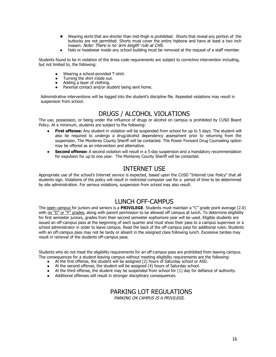- Wearing skirts that are shorter than mid-thigh is prohibited. Shorts that reveal any portion of the buttocks are not permitted. Shorts must cover the entire hipbone and have at least a two inch inseam. Note: There is no 'arm length' rule at CHS.
- Hats or headwear inside any school building must be removed at the request of a staff member.

Students found to be in violation of the dress code requirements are subject to corrective intervention including, but not limited to, the following:

- Wearing a school-provided T-shirt.
- Turning the shirt inside out.
- Adding a layer of clothing.
- Parental contact and/or student being sent home.

Administrative interventions will be logged into the student's discipline file. Repeated violations may result in suspension from school.

## DRUGS / ALCOHOL VIOLATIONS

The use, possession, or being under the influence of drugs or alcohol on campus is prohibited by CUSD Board Policy. At a minimum, students are subject to the following:

- **First offense:** Any student in violation will be suspended from school for up to 5 days. The student will also be required to undergo a drug/alcohol dependency assessment prior to returning from the suspension. The Monterey County Sheriff will be contacted. The Power Forward Drug Counseling option may be offered as an intervention and alternative.
- **Second offense:** A second violation will result in a 5-day suspension and a mandatory recommendation for expulsion for up to one year. The Monterey County Sheriff will be contacted.

## INTERNET USE

Appropriate use of the school's Internet service is expected, based upon the CUSD "Internet Use Policy" that all students sign. Violations of the policy will result in restricted computer use for a period of time to be determined by site administration. For serious violations, suspension from school may also result.

## LUNCH OFF-CAMPUS

The open campus for juniors and seniors is a **PRIVILEGE**. Students must maintain a "C" grade point average (2.0) with no "D" or "F" grades, along with parent permission to be allowed off campus at lunch. To determine eligibility for first semester juniors, grades from their second semester sophomore year will be used. Eligible students are issued an off-campus pass at the beginning of each quarter and must show their pass to a campus supervisor or a school administrator in order to leave campus. Read the back of the off-campus pass for additional rules. Students with an off-campus pass may not be tardy or absent in the assigned class following lunch. Excessive tardies may result in removal of the students off-campus pass.

Students who do not meet the eligibility requirements for an off-campus pass are prohibited from leaving campus. The consequences for a student leaving campus without meeting eligibility requirements are the following:

- At the first offense, the student will be assigned (2) hours of Saturday school or ASD.
- At the second offense, the student will be assigned (4) hours of Saturday school.
- At the third offense, the student may be suspended from school for (1) day for defiance of authority.
- Additional offenses will result in stronger disciplinary consequences.

#### PARKING LOT REGULATIONS PARKING ON CAMPUS IS A PRIVILEGE**.**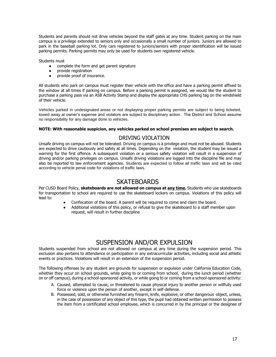Students and parents should not drive vehicles beyond the staff gates at any time. Student parking on the main campus is a privilege extended to seniors only and occasionally a small number of juniors. Juniors are allowed to park in the baseball parking lot. Only cars registered to juniors/seniors with proper identification will be issued parking permits. Parking permits may only be used for students own registered vehicle.

Students must

- complete the form and get parent signature
- provide registration
- provide proof of insurance.

All students who park on campus must register their vehicle with the office and have a parking permit affixed to the window at all times if parking on campus. Before a parking permit is assigned, we would like the student to purchase a parking pass via an ASB Activity Stamp and display the appropriate CHS parking tag on the windshield of their vehicle.

Vehicles parked in undesignated areas or not displaying proper parking permits are subject to being ticketed, towed away at owner's expense and violators are subject to disciplinary action. The District and School assume no responsibility for any damage done to vehicles.

#### **NOTE: With reasonable suspicion, any vehicles parked on school premises are subject to search.**

#### DRIVING VIOLATION

Unsafe driving on campus will not be tolerated. Driving on campus is a privilege and must not be abused. Students are expected to drive cautiously and safely at all times. Depending on the violation, the student may be issued a warning for the first offence. A subsequent violation or a serious safety violation will result in a suspension of driving and/or parking privileges on campus. Unsafe driving violations are logged into the discipline file and may also be reported to law enforcement agencies. Students are expected to follow all traffic laws and will be cited according to vehicle penal code for violations of traffic laws.

## **SKATEBOARDS**

Per CUSD Board Policy, **skateboards are not allowed on campus at any time.** Students who use skateboards for transportation to school are required to use the skateboard lockers on campus. Violations of this policy will lead to:

- Confiscation of the board. A parent will be required to come and claim the board.
- Additional violations of this policy, or refusal to give the skateboard to a staff member upon request, will result in further discipline

## SUSPENSION AND/OR EXPULSION

Students suspended from school are not allowed on campus at any time during the suspension period. This exclusion also pertains to attendance or participation in any extracurricular activities, including social and athletic events or practices. Violations will result in an extension of the suspension period.

The following offenses by any student are grounds for suspension or expulsion under California Education Code, whether they occur on school grounds, while going to or coming from school, during the lunch period (whether on or off campus), during a school-sponsored activity, or while going to or coming from a school-sponsored activity:

- A. Caused, attempted to cause, or threatened to cause physical injury to another person or willfully used force or violence upon the person of another, except in self-defense.
- B. Possessed, sold, or otherwise furnished any firearm, knife, explosive, or other dangerous object, unless, in the case of possession of any object of this type, the pupil had obtained written permission to possess the item from a certificated school employee, which is concurred in by the principal or the designee of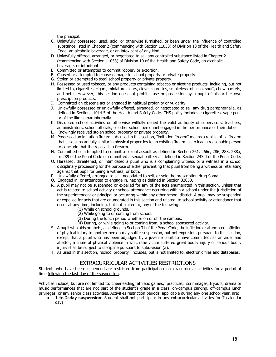the principal.

- C. Unlawfully possessed, used, sold, or otherwise furnished, or been under the influence of controlled substance listed in Chapter 2 (commencing with Section 11053) of Division 10 of the Health and Safety Code, an alcoholic beverage, or an intoxicant of any kind.
- D. Unlawfully offered, arranged, or negotiated to sell any controlled substance listed in Chapter 2 (commencing with Section 11053) of Division 10 of the Health and Safety Code, an alcoholic beverage, or intoxicant.
- E. Committed or attempted to commit robbery or extortion.
- F. Caused or attempted to cause damage to school property or private property.
- G. Stolen or attempted to steal school property or private property.
- H. Possessed or used tobacco, or any products containing tobacco or nicotine products, including, but not limited to, cigarettes, cigars, miniature cigars, clove cigarettes, smokeless tobacco, snuff, chew packets, and betel. However, this section does not prohibit use or possession by a pupil of his or her own prescription products.
- I. Committed an obscene act or engaged in habitual profanity or vulgarity.
- J. Unlawfully possessed or unlawfully offered, arranged, or negotiated to sell any drug paraphernalia, as defined in Section 11014.5 of the Health and Safety Code. CHS policy includes e-cigarettes, vape pens or of the like as paraphernalia.
- K. Disrupted school activities or otherwise willfully defied the valid authority of supervisors, teachers, administrators, school officials, or other school personnel engaged in the performance of their duties.
- L. Knowingly received stolen school property or private property.
- M. Possessed an imitation firearm. As used in this section, "imitation firearm" means a replica of a firearm that is so substantially similar in physical properties to an existing firearm as to lead a reasonable person to conclude that the replica is a firearm.
- N. Committed or attempted to commit a sexual assault as defined in Section 261, 266c, 286, 288, 288a, or 289 of the Penal Code or committed a sexual battery as defined in Section 243.4 of the Penal Code.
- O. Harassed, threatened, or intimidated a pupil who is a complaining witness or a witness in a school disciplinary proceeding for the purpose of either preventing that pupil from being a witness or retaliating against that pupil for being a witness, or both.
- P. Unlawfully offered, arranged to sell, negotiated to sell, or sold the prescription drug Soma.
- Q. Engaged in, or attempted to engage in, hazing as defined in Section 32050.
- R. A pupil may not be suspended or expelled for any of the acts enumerated in this section, unless that act is related to school activity or school attendance occurring within a school under the jurisdiction of the superintendent or principal or occurring within any other school district. A pupil may be suspended or expelled for acts that are enumerated in this section and related. to school activity or attendance that occur at any time, including, but not limited to, any of the following:
	- (1) While on school grounds.
	- (2) While going to or coming from school.
	- (3) During the lunch period whether on or off the campus.
	- (4) During, or while going to or coming from, a school sponsored activity.
- S. A pupil who aids or abets, as defined in Section 31 of the Penal Code, the infliction or attempted infliction of physical injury to another person may suffer suspension, but not expulsion, pursuant to this section, except that a pupil who has been adjudged by a juvenile court to have committed, as an aider and abettor, a crime of physical violence in which the victim suffered great bodily injury or serious bodily injury shall be subject to discipline pursuant to subdivision (a).
- T. As used in this section, "school property" includes, but is not limited to, electronic files and databases.

## EXTRACURRICULAR ACTIVITIES RESTRICTIONS

Students who have been suspended are restricted from participation in extracurricular activities for a period of time following the last day of the suspension.

Activities include, but are not limited to: cheerleading, athletic games, practices, scrimmages, tryouts, drama or music performances that are not part of the student's grade in a class, on-campus parking, off-campus lunch privileges, or any senior class activities. Activities restriction periods, applicable during any one school year, are:

1 to 2-day suspension: Student shall not participate in any extracurricular activities for 7 calendar days;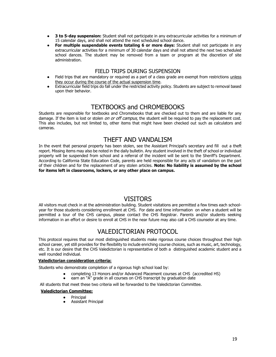- **3 to 5-day suspension:** Student shall not participate in any extracurricular activities for a minimum of 15 calendar days, and shall not attend the next scheduled school dance.
- **For multiple suspendable events totaling 6 or more days:** Student shall not participate in any extracurricular activities for a minimum of 30 calendar days and shall not attend the next two scheduled school dances. The student may be removed from a team or program at the discretion of site administration.

#### FIELD TRIPS DURING SUSPENSION

- Field trips that are mandatory or required as a part of a class grade are exempt from restrictions *unless* they occur during the course of the actual suspension time.
- Extracurricular field trips do fall under the restricted activity policy. Students are subject to removal based upon their behavior.

## TEXTBOOKS and CHROMEBOOKS

Students are responsible for textbooks and Chromebooks that are checked out to them and are liable for any damage. If the item is lost or stolen on or off campus, the student will be required to pay the replacement cost. This also includes, but not limited to, other items that might have been checked out such as calculators and cameras.

## THEFT AND VANDALISM

In the event that personal property has been stolen, see the Assistant Principal's secretary and fill out a theft report. Missing items may also be noted in the daily bulletin. Any student involved in the theft of school or individual property will be suspended from school and a referral of the incident will be sent to the Sheriff's Department. According to California State Education Code, parents are held responsible for any acts of vandalism on the part of their children and for the replacement of any stolen articles. **Note: No liability is assumed by the school for items left in classrooms, lockers, or any other place on campus.**

## VISITORS

All visitors must check in at the administration building. Student visitations are permitted a few times each schoolyear for those students considering enrollment at CHS. For date and time information on when a student will be permitted a tour of the CHS campus, please contact the CHS Registrar. Parents and/or students seeking information in an effort or desire to enroll at CHS in the near future may also call a CHS counselor at any time.

## VALEDICTORIAN PROTOCOL

This protocol requires that our most distinguished students make rigorous course choices throughout their high school career, yet still provides for the flexibility to include enriching course choices, such as music, art, technology, etc. It is our desire that the CHS Valedictorian is representative of both a distinguished academic student and a well rounded individual.

#### **Valedictorian consideration criteria:**

Students who demonstrate completion of a rigorous high school load by:

- completing 13 Honors and/or Advanced Placement courses at CHS (accredited HS)
- earn an "A" grade in all courses on CHS transcript by graduation date

All students that meet these two criteria will be forwarded to the Valedictorian Committee.

#### **Valedictorian Committee:**

- **Principal**
- Assistant Principal